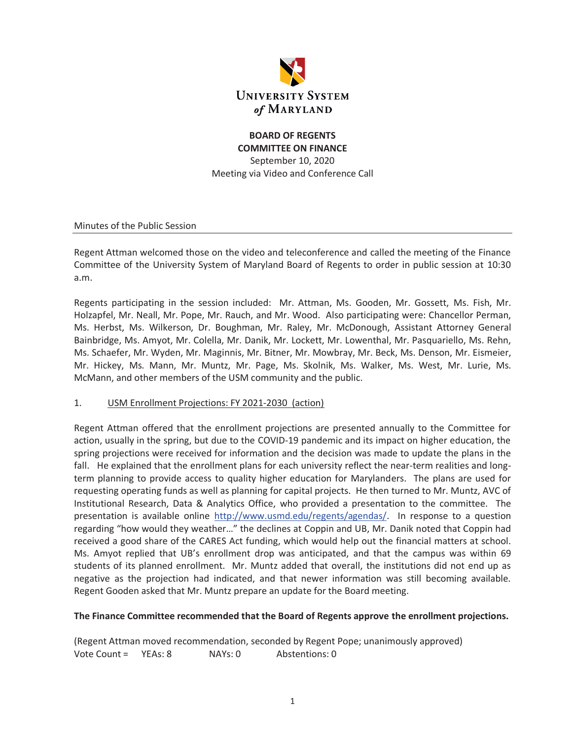

## **BOARD OF REGENTS COMMITTEE ON FINANCE**  September 10, 2020 Meeting via Video and Conference Call

Minutes of the Public Session

Regent Attman welcomed those on the video and teleconference and called the meeting of the Finance Committee of the University System of Maryland Board of Regents to order in public session at 10:30 a.m.

Regents participating in the session included: Mr. Attman, Ms. Gooden, Mr. Gossett, Ms. Fish, Mr. Holzapfel, Mr. Neall, Mr. Pope, Mr. Rauch, and Mr. Wood. Also participating were: Chancellor Perman, Ms. Herbst, Ms. Wilkerson, Dr. Boughman, Mr. Raley, Mr. McDonough, Assistant Attorney General Bainbridge, Ms. Amyot, Mr. Colella, Mr. Danik, Mr. Lockett, Mr. Lowenthal, Mr. Pasquariello, Ms. Rehn, Ms. Schaefer, Mr. Wyden, Mr. Maginnis, Mr. Bitner, Mr. Mowbray, Mr. Beck, Ms. Denson, Mr. Eismeier, Mr. Hickey, Ms. Mann, Mr. Muntz, Mr. Page, Ms. Skolnik, Ms. Walker, Ms. West, Mr. Lurie, Ms. McMann, and other members of the USM community and the public.

#### 1. USM Enrollment Projections: FY 2021-2030 (action)

Regent Attman offered that the enrollment projections are presented annually to the Committee for action, usually in the spring, but due to the COVID-19 pandemic and its impact on higher education, the spring projections were received for information and the decision was made to update the plans in the fall. He explained that the enrollment plans for each university reflect the near-term realities and longterm planning to provide access to quality higher education for Marylanders. The plans are used for requesting operating funds as well as planning for capital projects. He then turned to Mr. Muntz, AVC of Institutional Research, Data & Analytics Office, who provided a presentation to the committee. The presentation is available online http://www.usmd.edu/regents/agendas/. In response to a question regarding "how would they weather…" the declines at Coppin and UB, Mr. Danik noted that Coppin had received a good share of the CARES Act funding, which would help out the financial matters at school. Ms. Amyot replied that UB's enrollment drop was anticipated, and that the campus was within 69 students of its planned enrollment. Mr. Muntz added that overall, the institutions did not end up as negative as the projection had indicated, and that newer information was still becoming available. Regent Gooden asked that Mr. Muntz prepare an update for the Board meeting.

#### **The Finance Committee recommended that the Board of Regents approve the enrollment projections.**

(Regent Attman moved recommendation, seconded by Regent Pope; unanimously approved) Vote Count = YEAs: 8 NAYs: 0 Abstentions: 0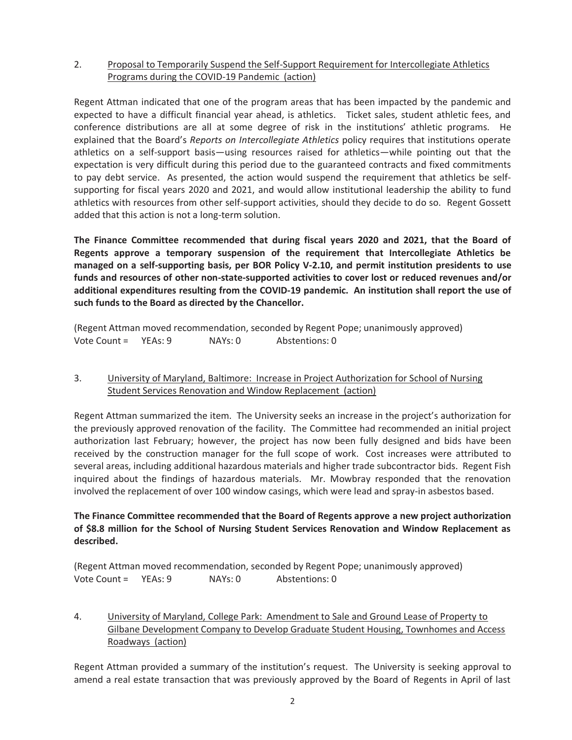### 2. Proposal to Temporarily Suspend the Self-Support Requirement for Intercollegiate Athletics Programs during the COVID-19 Pandemic (action)

Regent Attman indicated that one of the program areas that has been impacted by the pandemic and expected to have a difficult financial year ahead, is athletics. Ticket sales, student athletic fees, and conference distributions are all at some degree of risk in the institutions' athletic programs. He explained that the Board's *Reports on Intercollegiate Athletics* policy requires that institutions operate athletics on a self-support basis—using resources raised for athletics—while pointing out that the expectation is very difficult during this period due to the guaranteed contracts and fixed commitments to pay debt service. As presented, the action would suspend the requirement that athletics be selfsupporting for fiscal years 2020 and 2021, and would allow institutional leadership the ability to fund athletics with resources from other self-support activities, should they decide to do so. Regent Gossett added that this action is not a long-term solution.

**The Finance Committee recommended that during fiscal years 2020 and 2021, that the Board of Regents approve a temporary suspension of the requirement that Intercollegiate Athletics be managed on a self-supporting basis, per BOR Policy V-2.10, and permit institution presidents to use funds and resources of other non-state-supported activities to cover lost or reduced revenues and/or additional expenditures resulting from the COVID-19 pandemic. An institution shall report the use of such funds to the Board as directed by the Chancellor.** 

(Regent Attman moved recommendation, seconded by Regent Pope; unanimously approved) Vote Count = YEAs: 9 NAYs: 0 Abstentions: 0

### 3. University of Maryland, Baltimore: Increase in Project Authorization for School of Nursing Student Services Renovation and Window Replacement (action)

Regent Attman summarized the item. The University seeks an increase in the project's authorization for the previously approved renovation of the facility. The Committee had recommended an initial project authorization last February; however, the project has now been fully designed and bids have been received by the construction manager for the full scope of work. Cost increases were attributed to several areas, including additional hazardous materials and higher trade subcontractor bids. Regent Fish inquired about the findings of hazardous materials. Mr. Mowbray responded that the renovation involved the replacement of over 100 window casings, which were lead and spray-in asbestos based.

## **The Finance Committee recommended that the Board of Regents approve a new project authorization of \$8.8 million for the School of Nursing Student Services Renovation and Window Replacement as described.**

|                      |         | (Regent Attman moved recommendation, seconded by Regent Pope; unanimously approved) |  |
|----------------------|---------|-------------------------------------------------------------------------------------|--|
| Vote Count = YEAs: 9 | NAYs: 0 | Abstentions: 0                                                                      |  |

4. University of Maryland, College Park: Amendment to Sale and Ground Lease of Property to Gilbane Development Company to Develop Graduate Student Housing, Townhomes and Access Roadways (action)

Regent Attman provided a summary of the institution's request. The University is seeking approval to amend a real estate transaction that was previously approved by the Board of Regents in April of last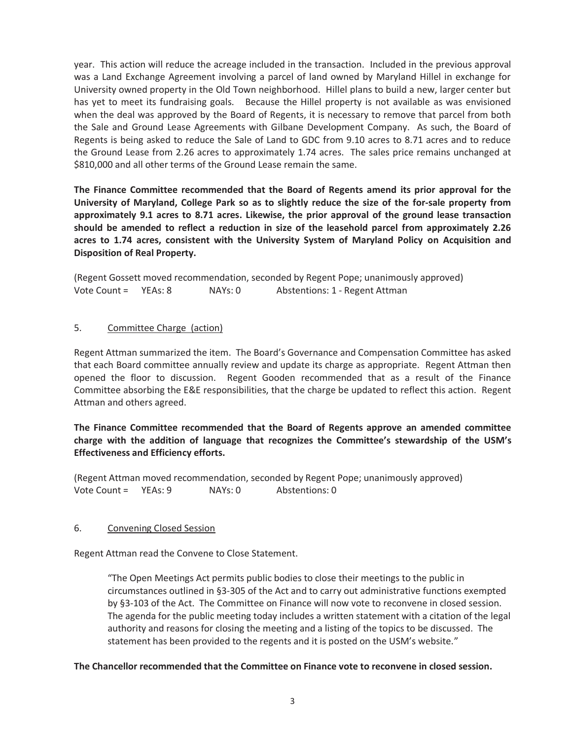year. This action will reduce the acreage included in the transaction.Included in the previous approval was a Land Exchange Agreement involving a parcel of land owned by Maryland Hillel in exchange for University owned property in the Old Town neighborhood. Hillel plans to build a new, larger center but has yet to meet its fundraising goals. Because the Hillel property is not available as was envisioned when the deal was approved by the Board of Regents, it is necessary to remove that parcel from both the Sale and Ground Lease Agreements with Gilbane Development Company. As such, the Board of Regents is being asked to reduce the Sale of Land to GDC from 9.10 acres to 8.71 acres and to reduce the Ground Lease from 2.26 acres to approximately 1.74 acres.The sales price remains unchanged at \$810,000 and all other terms of the Ground Lease remain the same.

**The Finance Committee recommended that the Board of Regents amend its prior approval for the University of Maryland, College Park so as to slightly reduce the size of the for-sale property from approximately 9.1 acres to 8.71 acres. Likewise, the prior approval of the ground lease transaction should be amended to reflect a reduction in size of the leasehold parcel from approximately 2.26 acres to 1.74 acres, consistent with the University System of Maryland Policy on Acquisition and Disposition of Real Property.** 

(Regent Gossett moved recommendation, seconded by Regent Pope; unanimously approved) Vote Count = YEAs: 8 NAYs: 0 Abstentions: 1 - Regent Attman

### 5. Committee Charge (action)

Regent Attman summarized the item. The Board's Governance and Compensation Committee has asked that each Board committee annually review and update its charge as appropriate. Regent Attman then opened the floor to discussion. Regent Gooden recommended that as a result of the Finance Committee absorbing the E&E responsibilities, that the charge be updated to reflect this action. Regent Attman and others agreed.

### **The Finance Committee recommended that the Board of Regents approve an amended committee charge with the addition of language that recognizes the Committee's stewardship of the USM's Effectiveness and Efficiency efforts.**

(Regent Attman moved recommendation, seconded by Regent Pope; unanimously approved) Vote Count = YEAs: 9 NAYs: 0 Abstentions: 0

#### 6. Convening Closed Session

Regent Attman read the Convene to Close Statement.

"The Open Meetings Act permits public bodies to close their meetings to the public in circumstances outlined in §3-305 of the Act and to carry out administrative functions exempted by §3-103 of the Act. The Committee on Finance will now vote to reconvene in closed session. The agenda for the public meeting today includes a written statement with a citation of the legal authority and reasons for closing the meeting and a listing of the topics to be discussed. The statement has been provided to the regents and it is posted on the USM's website."

#### **The Chancellor recommended that the Committee on Finance vote to reconvene in closed session.**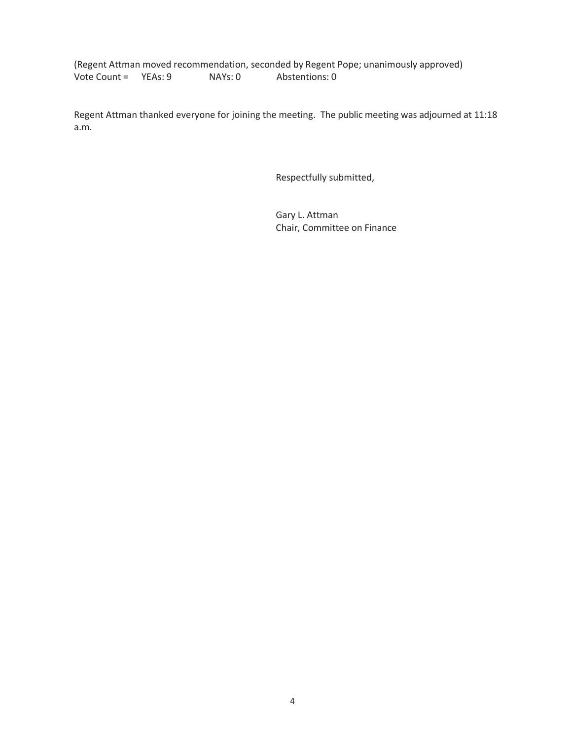(Regent Attman moved recommendation, seconded by Regent Pope; unanimously approved) Vote Count = YEAs: 9 NAYs: 0 Abstentions: 0

Regent Attman thanked everyone for joining the meeting. The public meeting was adjourned at 11:18 a.m.

Respectfully submitted,

 Gary L. Attman Chair, Committee on Finance